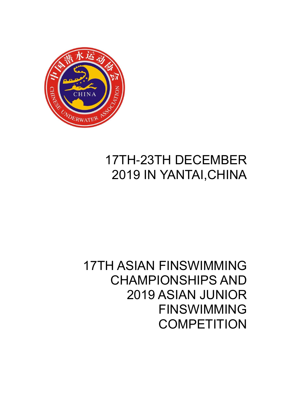

# 17TH-23TH DECEMBER 2019 IN YANTAI,CHINA

## 17TH ASIAN FINSWIMMING CHAMPIONSHIPS AND 2019 ASIAN JUNIOR FINSWIMMING **COMPETITION**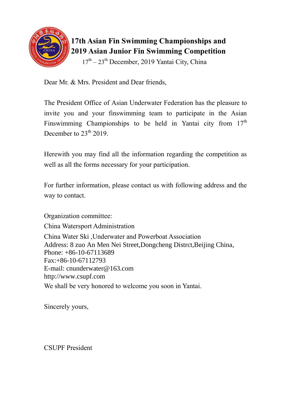

## **17th Asian Fin Swimming Championships and 2019 Asian Junior Fin Swimming Competition**

17<sup>th</sup> – 23<sup>th</sup> December, 2019 Yantai City, China

Dear Mr. & Mrs. President and Dear friends,

The President Office of Asian Underwater Federation has the pleasure to invite you and your finswimming team to participate in the Asian Finswimming Championships to be held in Yantai city from  $17<sup>th</sup>$ December to  $23<sup>th</sup> 2019$ .

Herewith you may find all the information regarding the competition as well as all the forms necessary for your participation.

For further information, please contact us with following address and the way to contact.

Organization committee: China Watersport Administration China Water Ski ,Underwater and Powerboat Association Address: 8 zuo An Men Nei Street,Dongcheng Distrct,Beijing China, Phone: +86-10-67113689 Fax:+86-10-67112793 E-mail: cnunderwater@163.com http://www.csupf.com We shall be very honored to welcome you soon in Yantai.

Sincerely yours,

CSUPF President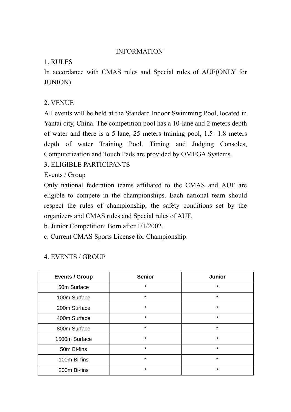#### INFORMATION

#### 1. RULES

In accordance with CMAS rules and Special rules of AUF(ONLY for JUNION).

#### 2. VENUE

All events will be held at the Standard Indoor Swimming Pool, located in Yantai city, China. The competition pool has a 10-lane and 2 meters depth of water and there is a 5-lane, 25 meters training pool, 1.5- 1.8 meters depth of water Training Pool. Timing and Judging Consoles, Computerization and Touch Pads are provided by OMEGA Systems.

#### 3. ELIGIBLE PARTICIPANTS

Events / Group

Only national federation teams affiliated to the CMAS and AUF are eligible to compete in the championships. Each national team should respect the rules of championship, the safety conditions set by the organizers and CMAS rules and Special rules of AUF.

b. Junior Competition: Born after 1/1/2002.

c. Current CMAS Sports License for Championship.

| <b>Events / Group</b> | <b>Senior</b> | <b>Junior</b> |
|-----------------------|---------------|---------------|
| 50m Surface           | $\star$       | $\star$       |
| 100m Surface          | $\star$       | $\star$       |
| 200m Surface          | $\star$       | $\star$       |
| 400m Surface          | $\star$       | $\star$       |
| 800m Surface          | $\star$       | $\star$       |
| 1500m Surface         | $\star$       | $\star$       |
| 50m Bi-fins           | $\star$       | $\star$       |
| 100m Bi-fins          | $\star$       | $\star$       |
| 200m Bi-fins          | $\star$       | $\star$       |

### 4. EVENTS / GROUP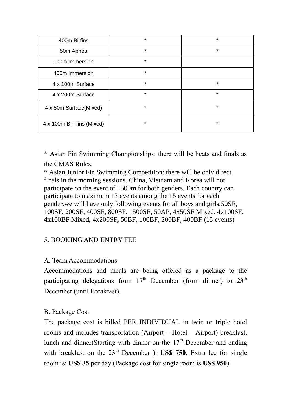| 400m Bi-fins              | $\star$  | $\star$ |
|---------------------------|----------|---------|
| 50m Apnea                 | $\star$  | $\star$ |
| 100m Immersion            | $\star$  |         |
| 400m Immersion            | $\star$  |         |
| 4 x 100m Surface          | $\star$  | $\star$ |
| 4 x 200m Surface          | $\star$  | $\star$ |
| 4 x 50m Surface(Mixed)    | $^\star$ | *       |
| 4 x 100m Bin-fins (Mixed) | $\star$  | $\star$ |

\* Asian Fin Swimming Championships: there will be heats and finals as the CMAS Rules.

\* Asian Junior Fin Swimming Competition: there will be only direct finals in the morning sessions. China, Vietnam and Korea will not participate on the event of 1500m for both genders. Each country can participate to maximum 13 events among the 15 events for each gender.we will have only following events for all boys and girls,50SF, 100SF, 200SF, 400SF, 800SF, 1500SF, 50AP, 4x50SF Mixed, 4x100SF, 4x100BF Mixed, 4x200SF, 50BF, 100BF, 200BF, 400BF (15 events)

#### 5. BOOKING AND ENTRY FEE

#### A. Team Accommodations

Accommodations and meals are being offered as a package to the participating delegations from  $17<sup>th</sup>$  December (from dinner) to  $23<sup>th</sup>$ December (until Breakfast).

#### B. Package Cost

The package cost is billed PER INDIVIDUAL in twin or triple hotel rooms and includes transportation (Airport – Hotel – Airport) breakfast, lunch and dinner(Starting with dinner on the  $17<sup>th</sup>$  December and ending with breakfast on the 23<sup>th</sup> December ): **US\$ 750**. Extra fee for single room is: **US\$ 35** per day (Package cost for single room is **US\$ 950**).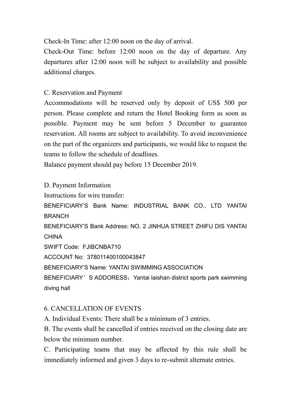Check-In Time: after 12:00 noon on the day of arrival.

Check-Out Time: before 12:00 noon on the day of departure. Any departures after 12:00 noon will be subject to availability and possible additional charges.

C. Reservation and Payment

Accommodations will be reserved only by deposit of US\$ 500 per person. Please complete and return the Hotel Booking form as soon as possible. Payment may be sent before 5 December to guarantee reservation. All rooms are subject to availability. To avoid inconvenience on the part of the organizers and participants, we would like to request the teams to follow the schedule of deadlines.

Balance payment should pay before 15 December 2019.

D. Payment Information Instructions for wire transfer: BENEFICIARY'S Bank Name: INDUSTRIAL BANK CO., LTD YANTAI BRANCH BENEFICIARY'S Bank Address: NO. 2 JINHUA STREET ZHIFU DIS YANTAI CHINA SWIFT Code: FJIBCNBA710 ACCOUNT No: 378011400100043847 BENEFICIARY'S Name: YANTAI SWIMMING ASSOCIATION BENEFICIARY'S ADDORESS: Yantai laishan district sports park swimming diving hall

#### 6. CANCELLATION OF EVENTS

A. Individual Events: There shall be a minimum of 3 entries.

B. The events shall be cancelled if entries received on the closing date are below the minimum number.

C. Participating teams that may be affected by this rule shall be immediately informed and given 3 days to re-submit alternate entries.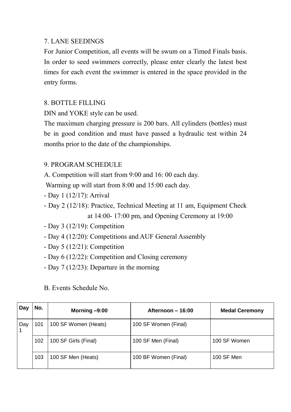#### 7. LANE SEEDINGS

For Junior Competition, all events will be swum on a Timed Finals basis. In order to seed swimmers correctly, please enter clearly the latest best times for each event the swimmer is entered in the space provided in the entry forms.

#### 8. BOTTLE FILLING

DIN and YOKE style can be used.

The maximum charging pressure is 200 bars. All cylinders (bottles) must be in good condition and must have passed a hydraulic test within 24 months prior to the date of the championships.

#### 9. PROGRAM SCHEDULE

A. Competition will start from 9:00 and 16: 00 each day.

Warming up will start from 8:00 and 15:00 each day.

- Day 1 (12/17): Arrival
- Day 2 (12/18): Practice, Technical Meeting at 11 am, Equipment Check at 14:00- 17:00 pm, and Opening Ceremony at 19:00
- Day 3 (12/19): Competition
- Day 4 (12/20): Competitions and AUF General Assembly
- Day 5 (12/21): Competition
- Day 6 (12/22): Competition and Closing ceremony
- Day 7 (12/23): Departure in the morning

B. Events Schedule No.

| Day | No. | Morning $-9:00$      | Afternoon – 16:00    | <b>Medal Ceremony</b> |
|-----|-----|----------------------|----------------------|-----------------------|
| Day | 101 | 100 SF Women (Heats) | 100 SF Women (Final) |                       |
|     | 102 | 100 SF Girls (Final) | 100 SF Men (Final)   | 100 SF Women          |
|     | 103 | 100 SF Men (Heats)   | 100 BF Women (Final) | 100 SF Men            |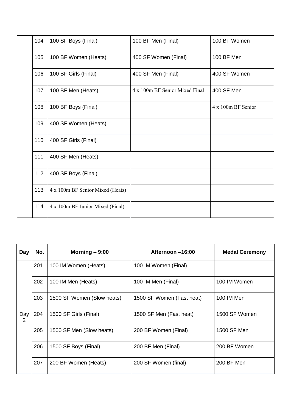| 104 | 100 SF Boys (Final)              | 100 BF Men (Final)             | 100 BF Women       |
|-----|----------------------------------|--------------------------------|--------------------|
| 105 | 100 BF Women (Heats)             | 400 SF Women (Final)           | 100 BF Men         |
| 106 | 100 BF Girls (Final)             | 400 SF Men (Final)             | 400 SF Women       |
| 107 | 100 BF Men (Heats)               | 4 x 100m BF Senior Mixed Final | 400 SF Men         |
| 108 | 100 BF Boys (Final)              |                                | 4 x 100m BF Senior |
| 109 | 400 SF Women (Heats)             |                                |                    |
| 110 | 400 SF Girls (Final)             |                                |                    |
| 111 | 400 SF Men (Heats)               |                                |                    |
| 112 | 400 SF Boys (Final)              |                                |                    |
| 113 | 4 x 100m BF Senior Mixed (Heats) |                                |                    |
| 114 | 4 x 100m BF Junior Mixed (Final) |                                |                    |

| Day      | No. | Morning $-9:00$            | Afternoon -16:00          | <b>Medal Ceremony</b> |
|----------|-----|----------------------------|---------------------------|-----------------------|
|          | 201 | 100 IM Women (Heats)       | 100 IM Women (Final)      |                       |
|          | 202 | 100 IM Men (Heats)         | 100 IM Men (Final)        | 100 IM Women          |
|          | 203 | 1500 SF Women (Slow heats) | 1500 SF Women (Fast heat) | 100 IM Men            |
| Day<br>2 | 204 | 1500 SF Girls (Final)      | 1500 SF Men (Fast heat)   | 1500 SF Women         |
|          | 205 | 1500 SF Men (Slow heats)   | 200 BF Women (Final)      | 1500 SF Men           |
|          | 206 | 1500 SF Boys (Final)       | 200 BF Men (Final)        | 200 BF Women          |
|          | 207 | 200 BF Women (Heats)       | 200 SF Women (final)      | 200 BF Men            |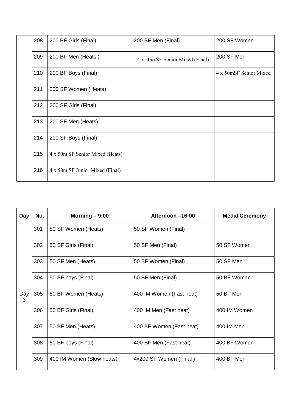| 208 | 200 BF Girls (Final)            | 200 SF Men (Final)              | 200 SF Women           |
|-----|---------------------------------|---------------------------------|------------------------|
| 209 | 200 BF Men (Heats)              | 4 x 50m SF Senior Mixed (Final) | 200 SF Men             |
| 210 | 200 BF Boys (Final)             |                                 | 4 x 50mSF Senior Mixed |
| 211 | 200 SF Women (Heats)            |                                 |                        |
| 212 | 200 SF Girls (Final)            |                                 |                        |
| 213 | 200 SF Men (Heats)              |                                 |                        |
| 214 | 200 SF Boys (Final)             |                                 |                        |
| 215 | 4 x 50m SF Senior Mixed (Heats) |                                 |                        |
| 216 | 4 x 50m SF Junior Mixed (Final) |                                 |                        |

| Day      | No. | Morning $-9:00$           | Afternoon -16:00         | <b>Medal Ceremony</b> |
|----------|-----|---------------------------|--------------------------|-----------------------|
|          | 301 | 50 SF Women (Heats)       | 50 SF Women (Final)      |                       |
|          | 302 | 50 SF Girls (Final)       | 50 SF Men (Final)        | 50 SF Women           |
|          | 303 | 50 SF Men (Heats)         | 50 BF Women (Final)      | 50 SF Men             |
|          | 304 | 50 SF boys (Final)        | 50 BF Men (Final)        | 50 BF Women           |
| Day<br>3 | 305 | 50 BF Women (Heats)       | 400 IM Women (Fast heat) | 50 BF Men             |
|          | 306 | 50 BF Girls (Final)       | 400 IM Men (Fast heat)   | 400 IM Women          |
|          | 307 | 50 BF Men (Heats)         | 400 BF Women (Fast heat) | 400 IM Men            |
|          | 308 | 50 BF boys (Final)        | 400 BF Men (Fast heat)   | 400 BF Women          |
|          | 309 | 400 IM Women (Slow heats) | 4x200 SF Women (Final)   | 400 BF Men            |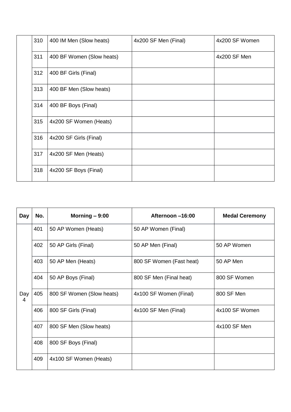| 310 | 400 IM Men (Slow heats)   | 4x200 SF Men (Final) | 4x200 SF Women |
|-----|---------------------------|----------------------|----------------|
| 311 | 400 BF Women (Slow heats) |                      | 4x200 SF Men   |
| 312 | 400 BF Girls (Final)      |                      |                |
| 313 | 400 BF Men (Slow heats)   |                      |                |
| 314 | 400 BF Boys (Final)       |                      |                |
| 315 | 4x200 SF Women (Heats)    |                      |                |
| 316 | 4x200 SF Girls (Final)    |                      |                |
| 317 | 4x200 SF Men (Heats)      |                      |                |
| 318 | 4x200 SF Boys (Final)     |                      |                |

| Day      | No. | Morning $-9:00$           | Afternoon -16:00         | <b>Medal Ceremony</b> |
|----------|-----|---------------------------|--------------------------|-----------------------|
|          | 401 | 50 AP Women (Heats)       | 50 AP Women (Final)      |                       |
|          | 402 | 50 AP Girls (Final)       | 50 AP Men (Final)        | 50 AP Women           |
|          | 403 | 50 AP Men (Heats)         | 800 SF Women (Fast heat) | 50 AP Men             |
|          | 404 | 50 AP Boys (Final)        | 800 SF Men (Final heat)  | 800 SF Women          |
| Day<br>4 | 405 | 800 SF Women (Slow heats) | 4x100 SF Women (Final)   | 800 SF Men            |
|          | 406 | 800 SF Girls (Final)      | 4x100 SF Men (Final)     | 4x100 SF Women        |
|          | 407 | 800 SF Men (Slow heats)   |                          | 4x100 SF Men          |
|          | 408 | 800 SF Boys (Final)       |                          |                       |
|          | 409 | 4x100 SF Women (Heats)    |                          |                       |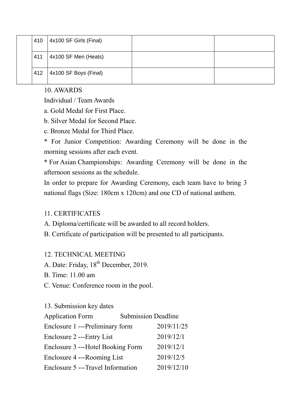| 410 | 4x100 SF Girls (Final) |  |
|-----|------------------------|--|
| 411 | 4x100 SF Men (Heats)   |  |
| 412 | 4x100 SF Boys (Final)  |  |

#### 10. AWARDS

Individual / Team Awards

a. Gold Medal for First Place.

b. Silver Medal for Second Place.

c. Bronze Medal for Third Place.

\* For Junior Competition: Awarding Ceremony will be done in the morning sessions after each event.

\* For Asian Championships: Awarding Ceremony will be done in the afternoon sessions as the schedule.

In order to prepare for Awarding Ceremony, each team have to bring 3 national flags (Size: 180cm x 120cm) and one CD of national anthem.

### 11. CERTIFICATES

A. Diploma/certificate will be awarded to all record holders.

B. Certificate of participation will be presented to all participants.

### 12. TECHNICAL MEETING

A. Date: Friday, 18<sup>th</sup> December, 2019.

B. Time: 11.00 am

C. Venue: Conference room in the pool.

#### 13. Submission key dates

| <b>Application Form</b>            | <b>Submission Deadline</b> |            |
|------------------------------------|----------------------------|------------|
| Enclosure 1 ---Preliminary form    |                            | 2019/11/25 |
| Enclosure 2 --- Entry List         |                            | 2019/12/1  |
| Enclosure 3 ---Hotel Booking Form  |                            | 2019/12/1  |
| Enclosure 4 ---Rooming List        |                            | 2019/12/5  |
| Enclosure 5 --- Travel Information |                            | 2019/12/10 |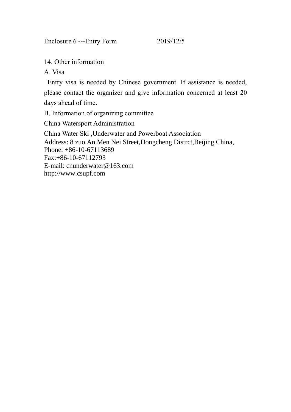Enclosure 6 ---Entry Form 2019/12/5

14. Other information

A. Visa

Entry visa is needed by Chinese government. If assistance is needed,

please contact the organizer and give information concerned at least 20 days ahead of time.

B. Information of organizing committee

China Watersport Administration

China Water Ski ,Underwater and Powerboat Association Address: 8 zuo An Men Nei Street,Dongcheng Distrct,Beijing China, Phone: +86-10-67113689 Fax:+86-10-67112793 E-mail: cnunderwater@163.com http://www.csupf.com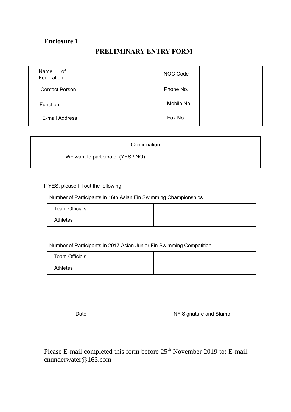#### **PRELIMINARY ENTRY FORM**

| Name<br>оf<br>Federation | NOC Code   |  |
|--------------------------|------------|--|
| <b>Contact Person</b>    | Phone No.  |  |
| Function                 | Mobile No. |  |
| E-mail Address           | Fax No.    |  |

| Confirmation                       |  |
|------------------------------------|--|
| We want to participate. (YES / NO) |  |

If YES, please fill out the following.

 $\Gamma$ 

| Number of Participants in 16th Asian Fin Swimming Championships |  |  |  |  |
|-----------------------------------------------------------------|--|--|--|--|
| Team Officials                                                  |  |  |  |  |
| <b>Athletes</b>                                                 |  |  |  |  |

| Number of Participants in 2017 Asian Junior Fin Swimming Competition |  |  |
|----------------------------------------------------------------------|--|--|
| <b>Team Officials</b>                                                |  |  |
| <b>Athletes</b>                                                      |  |  |

Date **NF Signature and Stamp** 

Please E-mail completed this form before  $25<sup>th</sup>$  November 2019 to: E-mail: cnunderwater@163.com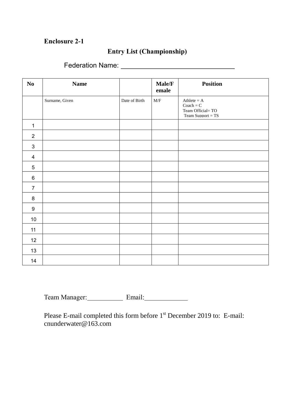#### **Entry List (Championship)**

Federation Name:

| $\mathbf{N}\mathbf{o}$ | <b>Name</b>    |               | Male/F<br>emale                                             | <b>Position</b>                                                         |
|------------------------|----------------|---------------|-------------------------------------------------------------|-------------------------------------------------------------------------|
|                        | Surname, Given | Date of Birth | $\ensuremath{\text{M}}\xspace/\ensuremath{\text{F}}\xspace$ | Athlete $= A$<br>$Coach = C$<br>Team Official=TO<br>Team Support = $TS$ |
| $\mathbf 1$            |                |               |                                                             |                                                                         |
| $\overline{2}$         |                |               |                                                             |                                                                         |
| $\mathfrak{B}$         |                |               |                                                             |                                                                         |
| $\overline{4}$         |                |               |                                                             |                                                                         |
| $5\,$                  |                |               |                                                             |                                                                         |
| $\,6\,$                |                |               |                                                             |                                                                         |
| $\overline{7}$         |                |               |                                                             |                                                                         |
| $\bf 8$                |                |               |                                                             |                                                                         |
| $9\,$                  |                |               |                                                             |                                                                         |
| $10\,$                 |                |               |                                                             |                                                                         |
| 11                     |                |               |                                                             |                                                                         |
| 12                     |                |               |                                                             |                                                                         |
| 13                     |                |               |                                                             |                                                                         |
| 14                     |                |               |                                                             |                                                                         |

Team Manager: Email: Email: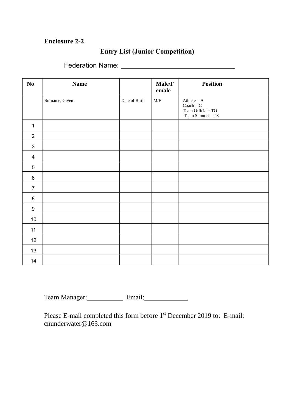#### **Entry List (Junior Competition)**

Federation Name:

| $\mathbf{N}\mathbf{o}$ | <b>Name</b>    |               | Male/F<br>emale           | <b>Position</b>                                                         |
|------------------------|----------------|---------------|---------------------------|-------------------------------------------------------------------------|
|                        | Surname, Given | Date of Birth | $\ensuremath{\text{M/F}}$ | Athlete $= A$<br>$Coach = C$<br>Team Official=TO<br>Team Support = $TS$ |
| $\mathbf 1$            |                |               |                           |                                                                         |
| $\overline{2}$         |                |               |                           |                                                                         |
| $\mathfrak{B}$         |                |               |                           |                                                                         |
| $\overline{4}$         |                |               |                           |                                                                         |
| $\overline{5}$         |                |               |                           |                                                                         |
| $\,6\,$                |                |               |                           |                                                                         |
| $\overline{7}$         |                |               |                           |                                                                         |
| 8                      |                |               |                           |                                                                         |
| $9\,$                  |                |               |                           |                                                                         |
| $10\,$                 |                |               |                           |                                                                         |
| 11                     |                |               |                           |                                                                         |
| 12                     |                |               |                           |                                                                         |
| 13                     |                |               |                           |                                                                         |
| 14                     |                |               |                           |                                                                         |

Team Manager: Email: Email: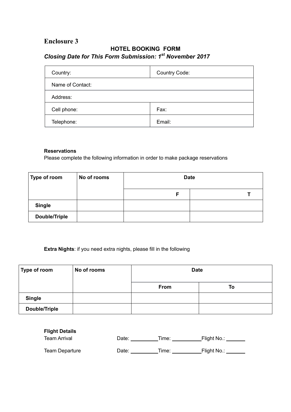#### **HOTEL BOOKING FORM** *Closing Date for This Form Submission: 1 st November 2017*

| Country:         | <b>Country Code:</b> |
|------------------|----------------------|
| Name of Contact: |                      |
| Address:         |                      |
| Cell phone:      | Fax:                 |
| Telephone:       | Email:               |

#### **Reservations**

Please complete the following information in order to make package reservations

| Type of room         | No of rooms | <b>Date</b> |  |  |
|----------------------|-------------|-------------|--|--|
|                      |             |             |  |  |
| <b>Single</b>        |             |             |  |  |
| <b>Double/Triple</b> |             |             |  |  |

#### **Extra Nights**: if you need extra nights, please fill in the following

| Type of room         | No of rooms | <b>Date</b> |    |  |
|----------------------|-------------|-------------|----|--|
|                      |             | From        | To |  |
| <b>Single</b>        |             |             |    |  |
| <b>Double/Triple</b> |             |             |    |  |

| <b>Flight Details</b> |       |       |             |
|-----------------------|-------|-------|-------------|
| <b>Team Arrival</b>   | Date: | Time: | Flight No.: |
| <b>Team Departure</b> | Date: | Time: | Flight No.: |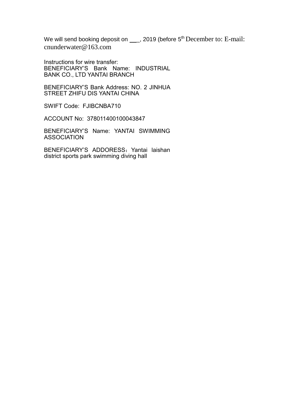We will send booking deposit on  $\underline{\hspace{1cm}}$ , 2019 (before 5<sup>th</sup> December to: E-mail: cnunderwater@163.com

Instructions for wire transfer: BENEFICIARY'S Bank Name: INDUSTRIAL BANK CO., LTD YANTAI BRANCH

BENEFICIARY'S Bank Address: NO. 2 JINHUA STREET ZHIFU DIS YANTAI CHINA

SWIFT Code: FJIBCNBA710

ACCOUNT No: 378011400100043847

BENEFICIARY'S Name: YANTAI SWIMMING ASSOCIATION

BENEFICIARY'S ADDORESS: Yantai laishan district sports park swimming diving hall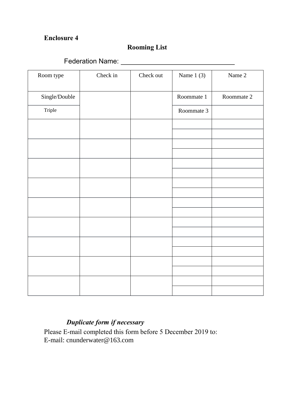## **Rooming List**

Federation Name:

| Room type     | Check in | Check out | Name $1(3)$ | Name 2     |
|---------------|----------|-----------|-------------|------------|
| Single/Double |          |           | Roommate 1  | Roommate 2 |
| Triple        |          |           | Roommate 3  |            |
|               |          |           |             |            |
|               |          |           |             |            |
|               |          |           |             |            |
|               |          |           |             |            |
|               |          |           |             |            |
|               |          |           |             |            |
|               |          |           |             |            |
|               |          |           |             |            |
|               |          |           |             |            |
|               |          |           |             |            |
|               |          |           |             |            |
|               |          |           |             |            |
|               |          |           |             |            |
|               |          |           |             |            |
|               |          |           |             |            |
|               |          |           |             |            |
|               |          |           |             |            |
|               |          |           |             |            |

## *Duplicate form if necessary*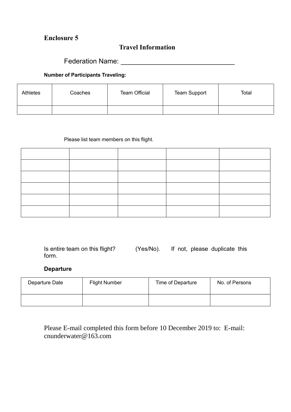#### **Travel Information**

Federation Name: Name: Name and South Assembly Name and South Assembly Name and South Assembly Name and South Assembly

#### **Number of Participants Traveling:**

| <b>Athletes</b> | Coaches | <b>Team Official</b> | <b>Team Support</b> | Total |
|-----------------|---------|----------------------|---------------------|-------|
|                 |         |                      |                     |       |

#### Please list team members on this flight.

Is entire team on this flight? (Yes/No). If not, please duplicate this form.

#### **Departure**

| Departure Date | <b>Flight Number</b> | Time of Departure | No. of Persons |  |
|----------------|----------------------|-------------------|----------------|--|
|                |                      |                   |                |  |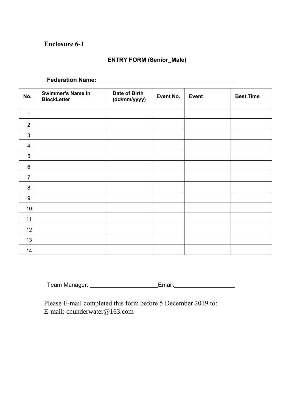#### **ENTRY FORM (Senior\_Male)**

|                  | Federation Name: ______                        |                               |           |              |                  |
|------------------|------------------------------------------------|-------------------------------|-----------|--------------|------------------|
| No.              | <b>Swimmer's Name In</b><br><b>BlockLetter</b> | Date of Birth<br>(dd/mm/yyyy) | Event No. | <b>Event</b> | <b>Best.Time</b> |
| $\mathbf{1}$     |                                                |                               |           |              |                  |
| $\overline{2}$   |                                                |                               |           |              |                  |
| $\mathfrak{B}$   |                                                |                               |           |              |                  |
| $\overline{4}$   |                                                |                               |           |              |                  |
| 5                |                                                |                               |           |              |                  |
| $\,6\,$          |                                                |                               |           |              |                  |
| $\overline{7}$   |                                                |                               |           |              |                  |
| 8                |                                                |                               |           |              |                  |
| $\boldsymbol{9}$ |                                                |                               |           |              |                  |
| 10 <sup>°</sup>  |                                                |                               |           |              |                  |
| 11               |                                                |                               |           |              |                  |
| 12               |                                                |                               |           |              |                  |
| 13               |                                                |                               |           |              |                  |
| 14               |                                                |                               |           |              |                  |

Team Manager: \_\_\_\_\_\_\_\_\_\_\_\_\_\_\_\_\_\_\_\_\_\_\_\_\_Email:\_\_\_\_\_\_\_\_\_\_\_\_\_\_\_\_\_\_\_\_\_\_\_\_\_\_\_\_\_\_\_\_\_\_\_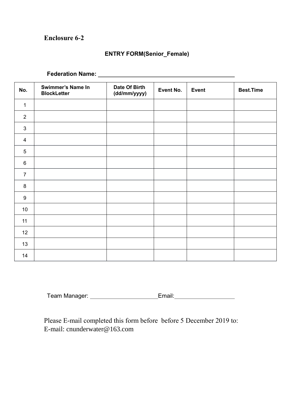#### **ENTRY FORM(Senior\_Female)**

## **Federation Name:**

| No.              | <b>Swimmer's Name In</b><br><b>BlockLetter</b> | Date Of Birth<br>(dd/mm/yyyy) | Event No. | <b>Event</b> | <b>Best.Time</b> |
|------------------|------------------------------------------------|-------------------------------|-----------|--------------|------------------|
| $\mathbf{1}$     |                                                |                               |           |              |                  |
| $\overline{2}$   |                                                |                               |           |              |                  |
| $\mathbf{3}$     |                                                |                               |           |              |                  |
| $\overline{4}$   |                                                |                               |           |              |                  |
| 5                |                                                |                               |           |              |                  |
| $\,6\,$          |                                                |                               |           |              |                  |
| $\overline{7}$   |                                                |                               |           |              |                  |
| $\,8\,$          |                                                |                               |           |              |                  |
| $\boldsymbol{9}$ |                                                |                               |           |              |                  |
| 10               |                                                |                               |           |              |                  |
| 11               |                                                |                               |           |              |                  |
| 12               |                                                |                               |           |              |                  |
| 13               |                                                |                               |           |              |                  |
| 14               |                                                |                               |           |              |                  |

|  | Team Manager: |  |  |
|--|---------------|--|--|
|--|---------------|--|--|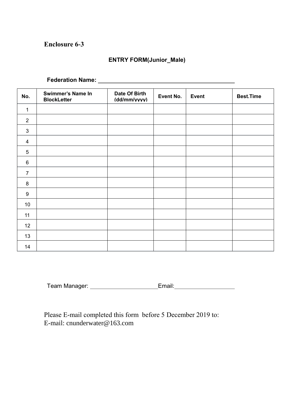#### **ENTRY FORM(Junior\_Male)**

|                | Federation Name: ________                      |                               |           |              |                  |
|----------------|------------------------------------------------|-------------------------------|-----------|--------------|------------------|
| No.            | <b>Swimmer's Name In</b><br><b>BlockLetter</b> | Date Of Birth<br>(dd/mm/vvvv) | Event No. | <b>Event</b> | <b>Best.Time</b> |
| $\mathbf{1}$   |                                                |                               |           |              |                  |
| 2              |                                                |                               |           |              |                  |
| 3              |                                                |                               |           |              |                  |
| $\overline{4}$ |                                                |                               |           |              |                  |
| $\overline{5}$ |                                                |                               |           |              |                  |
| 6              |                                                |                               |           |              |                  |
| $\overline{7}$ |                                                |                               |           |              |                  |
| 8              |                                                |                               |           |              |                  |
| 9              |                                                |                               |           |              |                  |
| 10             |                                                |                               |           |              |                  |
| 11             |                                                |                               |           |              |                  |
| 12             |                                                |                               |           |              |                  |
| 13             |                                                |                               |           |              |                  |
| 14             |                                                |                               |           |              |                  |

Team Manager: \_\_\_\_\_\_\_\_\_\_\_\_\_\_\_\_\_\_\_\_\_\_\_\_\_\_Email:\_\_\_\_\_\_\_\_\_\_\_\_\_\_\_\_\_\_\_\_\_\_\_\_\_\_\_\_\_\_\_\_\_\_